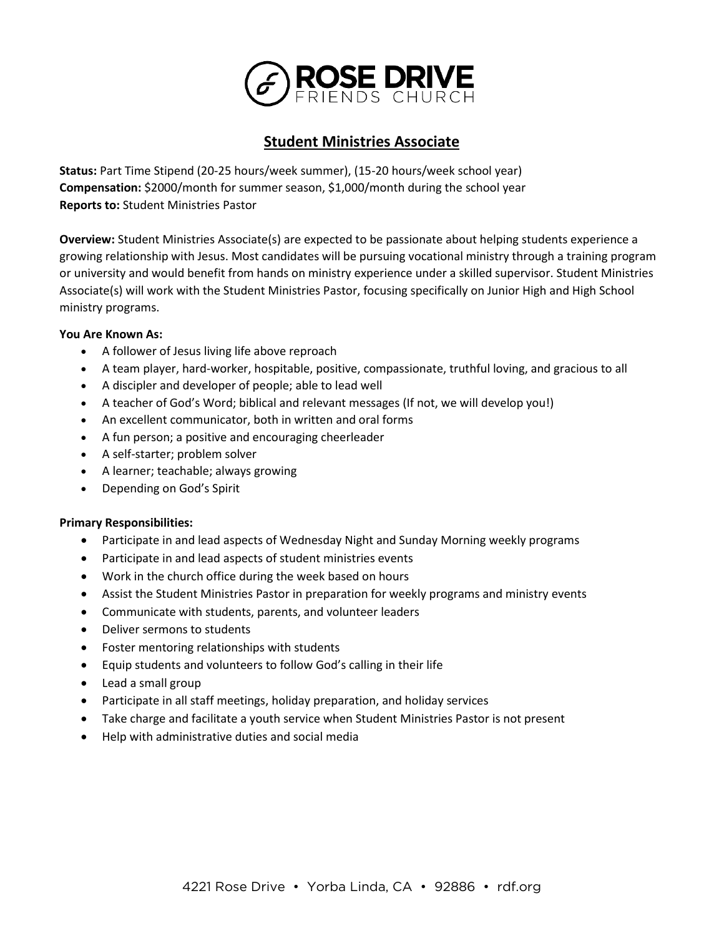

# **Student Ministries Associate**

**Status:** Part Time Stipend (20-25 hours/week summer), (15-20 hours/week school year) **Compensation:** \$2000/month for summer season, \$1,000/month during the school year **Reports to:** Student Ministries Pastor

**Overview:** Student Ministries Associate(s) are expected to be passionate about helping students experience a growing relationship with Jesus. Most candidates will be pursuing vocational ministry through a training program or university and would benefit from hands on ministry experience under a skilled supervisor. Student Ministries Associate(s) will work with the Student Ministries Pastor, focusing specifically on Junior High and High School ministry programs.

# **You Are Known As:**

- A follower of Jesus living life above reproach
- A team player, hard-worker, hospitable, positive, compassionate, truthful loving, and gracious to all
- A discipler and developer of people; able to lead well
- A teacher of God's Word; biblical and relevant messages (If not, we will develop you!)
- An excellent communicator, both in written and oral forms
- A fun person; a positive and encouraging cheerleader
- A self-starter; problem solver
- A learner; teachable; always growing
- Depending on God's Spirit

# **Primary Responsibilities:**

- Participate in and lead aspects of Wednesday Night and Sunday Morning weekly programs
- Participate in and lead aspects of student ministries events
- Work in the church office during the week based on hours
- Assist the Student Ministries Pastor in preparation for weekly programs and ministry events
- Communicate with students, parents, and volunteer leaders
- Deliver sermons to students
- Foster mentoring relationships with students
- Equip students and volunteers to follow God's calling in their life
- Lead a small group
- Participate in all staff meetings, holiday preparation, and holiday services
- Take charge and facilitate a youth service when Student Ministries Pastor is not present
- Help with administrative duties and social media